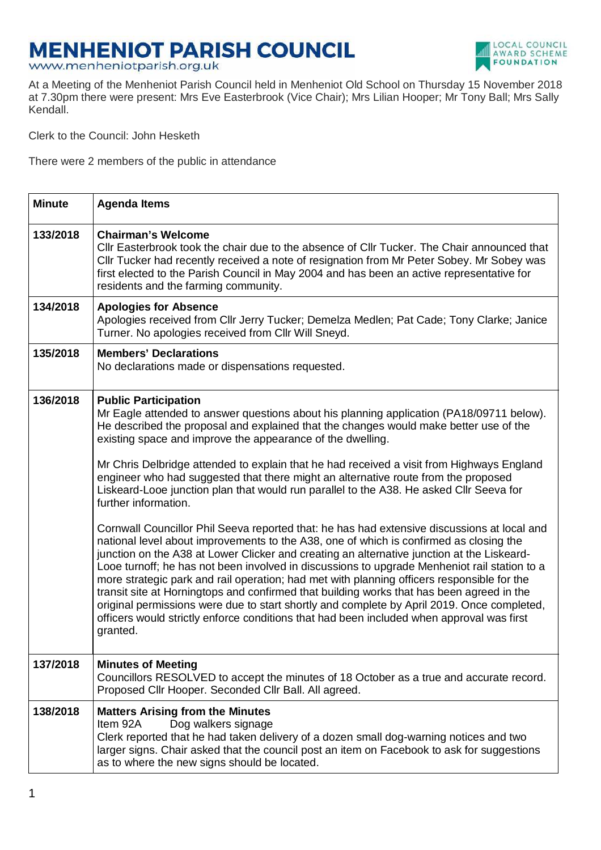## **MENHENIOT PARISH COUNCIL**

www.menheniotparish.org.uk



At a Meeting of the Menheniot Parish Council held in Menheniot Old School on Thursday 15 November 2018 at 7.30pm there were present: Mrs Eve Easterbrook (Vice Chair); Mrs Lilian Hooper; Mr Tony Ball; Mrs Sally Kendall.

Clerk to the Council: John Hesketh

There were 2 members of the public in attendance

| <b>Minute</b> | <b>Agenda Items</b>                                                                                                                                                                                                                                                                                                                                                                                                                                                                                                                                                                                                                                                                                                                                                                                                                                                                                                                                                                                                                                                                                                                                                                                                                                                                                                                                                           |
|---------------|-------------------------------------------------------------------------------------------------------------------------------------------------------------------------------------------------------------------------------------------------------------------------------------------------------------------------------------------------------------------------------------------------------------------------------------------------------------------------------------------------------------------------------------------------------------------------------------------------------------------------------------------------------------------------------------------------------------------------------------------------------------------------------------------------------------------------------------------------------------------------------------------------------------------------------------------------------------------------------------------------------------------------------------------------------------------------------------------------------------------------------------------------------------------------------------------------------------------------------------------------------------------------------------------------------------------------------------------------------------------------------|
| 133/2018      | <b>Chairman's Welcome</b><br>Cllr Easterbrook took the chair due to the absence of Cllr Tucker. The Chair announced that<br>Cllr Tucker had recently received a note of resignation from Mr Peter Sobey. Mr Sobey was<br>first elected to the Parish Council in May 2004 and has been an active representative for<br>residents and the farming community.                                                                                                                                                                                                                                                                                                                                                                                                                                                                                                                                                                                                                                                                                                                                                                                                                                                                                                                                                                                                                    |
| 134/2018      | <b>Apologies for Absence</b><br>Apologies received from Cllr Jerry Tucker; Demelza Medlen; Pat Cade; Tony Clarke; Janice<br>Turner. No apologies received from Cllr Will Sneyd.                                                                                                                                                                                                                                                                                                                                                                                                                                                                                                                                                                                                                                                                                                                                                                                                                                                                                                                                                                                                                                                                                                                                                                                               |
| 135/2018      | <b>Members' Declarations</b><br>No declarations made or dispensations requested.                                                                                                                                                                                                                                                                                                                                                                                                                                                                                                                                                                                                                                                                                                                                                                                                                                                                                                                                                                                                                                                                                                                                                                                                                                                                                              |
| 136/2018      | <b>Public Participation</b><br>Mr Eagle attended to answer questions about his planning application (PA18/09711 below).<br>He described the proposal and explained that the changes would make better use of the<br>existing space and improve the appearance of the dwelling.<br>Mr Chris Delbridge attended to explain that he had received a visit from Highways England<br>engineer who had suggested that there might an alternative route from the proposed<br>Liskeard-Looe junction plan that would run parallel to the A38. He asked Cllr Seeva for<br>further information.<br>Cornwall Councillor Phil Seeva reported that: he has had extensive discussions at local and<br>national level about improvements to the A38, one of which is confirmed as closing the<br>junction on the A38 at Lower Clicker and creating an alternative junction at the Liskeard-<br>Looe turnoff; he has not been involved in discussions to upgrade Menheniot rail station to a<br>more strategic park and rail operation; had met with planning officers responsible for the<br>transit site at Horningtops and confirmed that building works that has been agreed in the<br>original permissions were due to start shortly and complete by April 2019. Once completed,<br>officers would strictly enforce conditions that had been included when approval was first<br>granted. |
| 137/2018      | <b>Minutes of Meeting</b><br>Councillors RESOLVED to accept the minutes of 18 October as a true and accurate record.<br>Proposed Cllr Hooper. Seconded Cllr Ball. All agreed.                                                                                                                                                                                                                                                                                                                                                                                                                                                                                                                                                                                                                                                                                                                                                                                                                                                                                                                                                                                                                                                                                                                                                                                                 |
| 138/2018      | <b>Matters Arising from the Minutes</b><br>Item 92A<br>Dog walkers signage<br>Clerk reported that he had taken delivery of a dozen small dog-warning notices and two<br>larger signs. Chair asked that the council post an item on Facebook to ask for suggestions<br>as to where the new signs should be located.                                                                                                                                                                                                                                                                                                                                                                                                                                                                                                                                                                                                                                                                                                                                                                                                                                                                                                                                                                                                                                                            |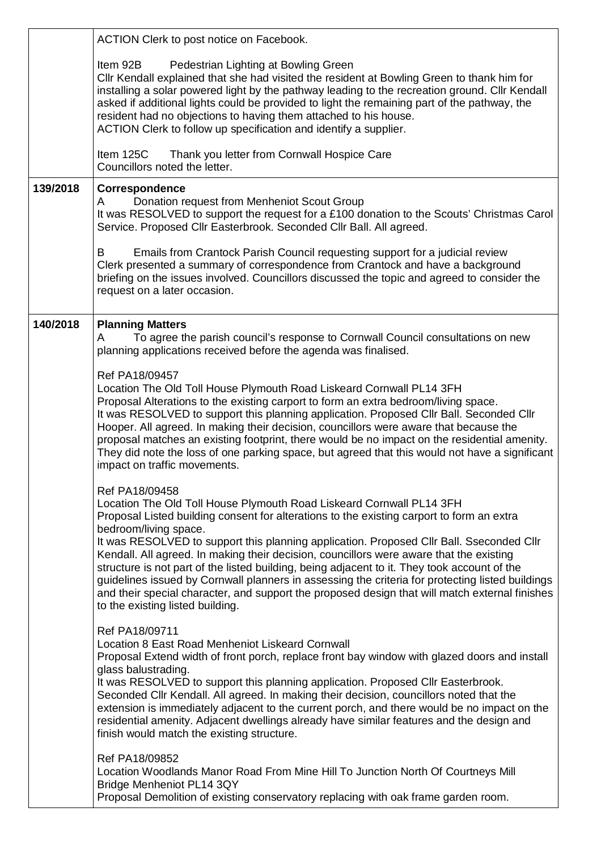|          | ACTION Clerk to post notice on Facebook.                                                                                                                                                                                                                                                                                                                                                                                                                                                                                                                                                                                                                                                                                                      |
|----------|-----------------------------------------------------------------------------------------------------------------------------------------------------------------------------------------------------------------------------------------------------------------------------------------------------------------------------------------------------------------------------------------------------------------------------------------------------------------------------------------------------------------------------------------------------------------------------------------------------------------------------------------------------------------------------------------------------------------------------------------------|
|          | Item 92B<br>Pedestrian Lighting at Bowling Green<br>Cllr Kendall explained that she had visited the resident at Bowling Green to thank him for<br>installing a solar powered light by the pathway leading to the recreation ground. Cllr Kendall<br>asked if additional lights could be provided to light the remaining part of the pathway, the<br>resident had no objections to having them attached to his house.<br>ACTION Clerk to follow up specification and identify a supplier.                                                                                                                                                                                                                                                      |
|          | Item 125C<br>Thank you letter from Cornwall Hospice Care<br>Councillors noted the letter.                                                                                                                                                                                                                                                                                                                                                                                                                                                                                                                                                                                                                                                     |
| 139/2018 | Correspondence<br>Donation request from Menheniot Scout Group<br>A<br>It was RESOLVED to support the request for a £100 donation to the Scouts' Christmas Carol<br>Service. Proposed Cllr Easterbrook. Seconded Cllr Ball. All agreed.                                                                                                                                                                                                                                                                                                                                                                                                                                                                                                        |
|          | Emails from Crantock Parish Council requesting support for a judicial review<br>B<br>Clerk presented a summary of correspondence from Crantock and have a background<br>briefing on the issues involved. Councillors discussed the topic and agreed to consider the<br>request on a later occasion.                                                                                                                                                                                                                                                                                                                                                                                                                                           |
| 140/2018 | <b>Planning Matters</b><br>To agree the parish council's response to Cornwall Council consultations on new<br>A<br>planning applications received before the agenda was finalised.                                                                                                                                                                                                                                                                                                                                                                                                                                                                                                                                                            |
|          | Ref PA18/09457<br>Location The Old Toll House Plymouth Road Liskeard Cornwall PL14 3FH<br>Proposal Alterations to the existing carport to form an extra bedroom/living space.<br>It was RESOLVED to support this planning application. Proposed Cllr Ball. Seconded Cllr<br>Hooper. All agreed. In making their decision, councillors were aware that because the<br>proposal matches an existing footprint, there would be no impact on the residential amenity.<br>They did note the loss of one parking space, but agreed that this would not have a significant<br>impact on traffic movements.                                                                                                                                           |
|          | Ref PA18/09458<br>Location The Old Toll House Plymouth Road Liskeard Cornwall PL14 3FH<br>Proposal Listed building consent for alterations to the existing carport to form an extra<br>bedroom/living space.<br>It was RESOLVED to support this planning application. Proposed Cllr Ball. Sseconded Cllr<br>Kendall. All agreed. In making their decision, councillors were aware that the existing<br>structure is not part of the listed building, being adjacent to it. They took account of the<br>guidelines issued by Cornwall planners in assessing the criteria for protecting listed buildings<br>and their special character, and support the proposed design that will match external finishes<br>to the existing listed building. |
|          | Ref PA18/09711<br>Location 8 East Road Menheniot Liskeard Cornwall<br>Proposal Extend width of front porch, replace front bay window with glazed doors and install<br>glass balustrading.<br>It was RESOLVED to support this planning application. Proposed Cllr Easterbrook.<br>Seconded Cllr Kendall. All agreed. In making their decision, councillors noted that the<br>extension is immediately adjacent to the current porch, and there would be no impact on the<br>residential amenity. Adjacent dwellings already have similar features and the design and<br>finish would match the existing structure.                                                                                                                             |
|          | Ref PA18/09852<br>Location Woodlands Manor Road From Mine Hill To Junction North Of Courtneys Mill<br>Bridge Menheniot PL14 3QY<br>Proposal Demolition of existing conservatory replacing with oak frame garden room.                                                                                                                                                                                                                                                                                                                                                                                                                                                                                                                         |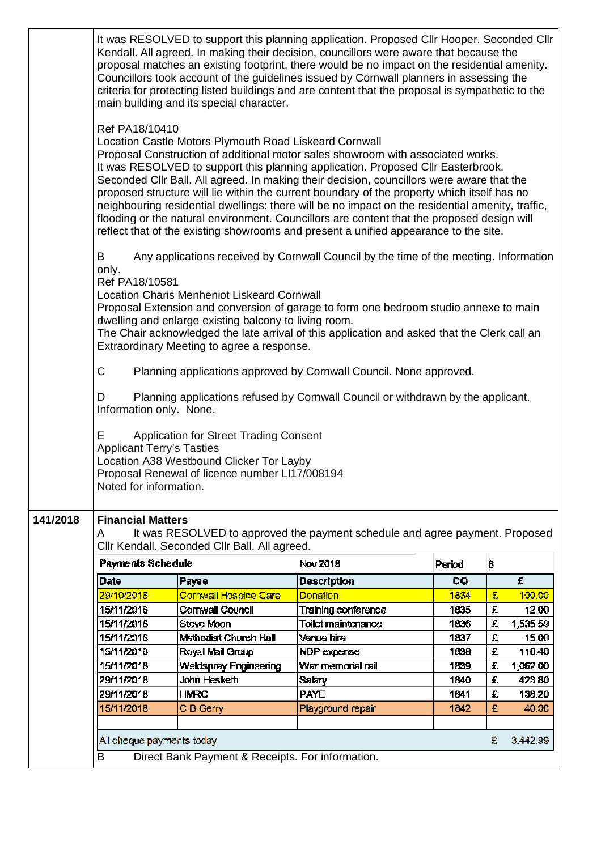|          |                                                                                            | main building and its special character.                                                                                                                  | It was RESOLVED to support this planning application. Proposed Cllr Hooper. Seconded Cllr<br>Kendall. All agreed. In making their decision, councillors were aware that because the<br>proposal matches an existing footprint, there would be no impact on the residential amenity.<br>Councillors took account of the guidelines issued by Cornwall planners in assessing the<br>criteria for protecting listed buildings and are content that the proposal is sympathetic to the                                                                                                                                                                        |        |   |          |
|----------|--------------------------------------------------------------------------------------------|-----------------------------------------------------------------------------------------------------------------------------------------------------------|-----------------------------------------------------------------------------------------------------------------------------------------------------------------------------------------------------------------------------------------------------------------------------------------------------------------------------------------------------------------------------------------------------------------------------------------------------------------------------------------------------------------------------------------------------------------------------------------------------------------------------------------------------------|--------|---|----------|
|          | Ref PA18/10410                                                                             | Location Castle Motors Plymouth Road Liskeard Cornwall                                                                                                    | Proposal Construction of additional motor sales showroom with associated works.<br>It was RESOLVED to support this planning application. Proposed Cllr Easterbrook.<br>Seconded CIIr Ball. All agreed. In making their decision, councillors were aware that the<br>proposed structure will lie within the current boundary of the property which itself has no<br>neighbouring residential dwellings: there will be no impact on the residential amenity, traffic,<br>flooding or the natural environment. Councillors are content that the proposed design will<br>reflect that of the existing showrooms and present a unified appearance to the site. |        |   |          |
|          | B<br>only.<br>Ref PA18/10581<br>C<br>D                                                     | <b>Location Charis Menheniot Liskeard Cornwall</b><br>dwelling and enlarge existing balcony to living room.<br>Extraordinary Meeting to agree a response. | Any applications received by Cornwall Council by the time of the meeting. Information<br>Proposal Extension and conversion of garage to form one bedroom studio annexe to main<br>The Chair acknowledged the late arrival of this application and asked that the Clerk call an<br>Planning applications approved by Cornwall Council. None approved.<br>Planning applications refused by Cornwall Council or withdrawn by the applicant.                                                                                                                                                                                                                  |        |   |          |
|          | Information only. None.<br>Ε<br><b>Applicant Terry's Tasties</b><br>Noted for information. | <b>Application for Street Trading Consent</b><br>Location A38 Westbound Clicker Tor Layby<br>Proposal Renewal of licence number LI17/008194               |                                                                                                                                                                                                                                                                                                                                                                                                                                                                                                                                                                                                                                                           |        |   |          |
| 141/2018 | <b>Financial Matters</b>                                                                   |                                                                                                                                                           |                                                                                                                                                                                                                                                                                                                                                                                                                                                                                                                                                                                                                                                           |        |   |          |
|          | A                                                                                          | Cllr Kendall. Seconded Cllr Ball. All agreed.                                                                                                             | It was RESOLVED to approved the payment schedule and agree payment. Proposed                                                                                                                                                                                                                                                                                                                                                                                                                                                                                                                                                                              |        |   |          |
|          | <b>Payments Schedule</b>                                                                   |                                                                                                                                                           | Nov 2018                                                                                                                                                                                                                                                                                                                                                                                                                                                                                                                                                                                                                                                  | Period | 8 |          |
|          | Date                                                                                       | Payee                                                                                                                                                     | <b>Description</b>                                                                                                                                                                                                                                                                                                                                                                                                                                                                                                                                                                                                                                        | CQ     |   | £        |
|          | 29/10/2018                                                                                 | Cornwall Hospice Care                                                                                                                                     | Donation                                                                                                                                                                                                                                                                                                                                                                                                                                                                                                                                                                                                                                                  | 1834   | £ | 100.00   |
|          | 15/11/2018                                                                                 | Cornwall Council                                                                                                                                          | Training conference                                                                                                                                                                                                                                                                                                                                                                                                                                                                                                                                                                                                                                       | 1835   | £ | 12.00    |
|          | 15/11/2018                                                                                 | Steve Moon                                                                                                                                                | <b>Toilet maintenance</b>                                                                                                                                                                                                                                                                                                                                                                                                                                                                                                                                                                                                                                 | 1836   | £ | 1,535.59 |
|          | 15/11/2018                                                                                 | <b>Methodist Church Hall</b>                                                                                                                              | Venue hire                                                                                                                                                                                                                                                                                                                                                                                                                                                                                                                                                                                                                                                | 1837   | £ | 15.00    |
|          | 15/11/2018                                                                                 | Royal Mail Group                                                                                                                                          | NDP expense                                                                                                                                                                                                                                                                                                                                                                                                                                                                                                                                                                                                                                               | 1838   | £ | 116.40   |
|          | 15/11/2018                                                                                 | Weldspray Engineering                                                                                                                                     | War memorial rail                                                                                                                                                                                                                                                                                                                                                                                                                                                                                                                                                                                                                                         | 1839   | £ | 1,062.00 |
|          | 29/11/2018                                                                                 | John Hesketh                                                                                                                                              | <b>Salary</b>                                                                                                                                                                                                                                                                                                                                                                                                                                                                                                                                                                                                                                             | 1840   | £ | 423.80   |
|          | 29/11/2018                                                                                 | <b>HMRC</b>                                                                                                                                               | <b>PAYE</b>                                                                                                                                                                                                                                                                                                                                                                                                                                                                                                                                                                                                                                               | 1841   | £ | 138.20   |
|          | 15/11/2018                                                                                 | C B Gerry                                                                                                                                                 | Playground repair                                                                                                                                                                                                                                                                                                                                                                                                                                                                                                                                                                                                                                         | 1842   | £ | 40.00    |
|          |                                                                                            |                                                                                                                                                           |                                                                                                                                                                                                                                                                                                                                                                                                                                                                                                                                                                                                                                                           |        |   |          |
|          | All cheque payments today                                                                  |                                                                                                                                                           |                                                                                                                                                                                                                                                                                                                                                                                                                                                                                                                                                                                                                                                           |        | £ | 3,442.99 |
|          | Direct Bank Payment & Receipts. For information.<br>B                                      |                                                                                                                                                           |                                                                                                                                                                                                                                                                                                                                                                                                                                                                                                                                                                                                                                                           |        |   |          |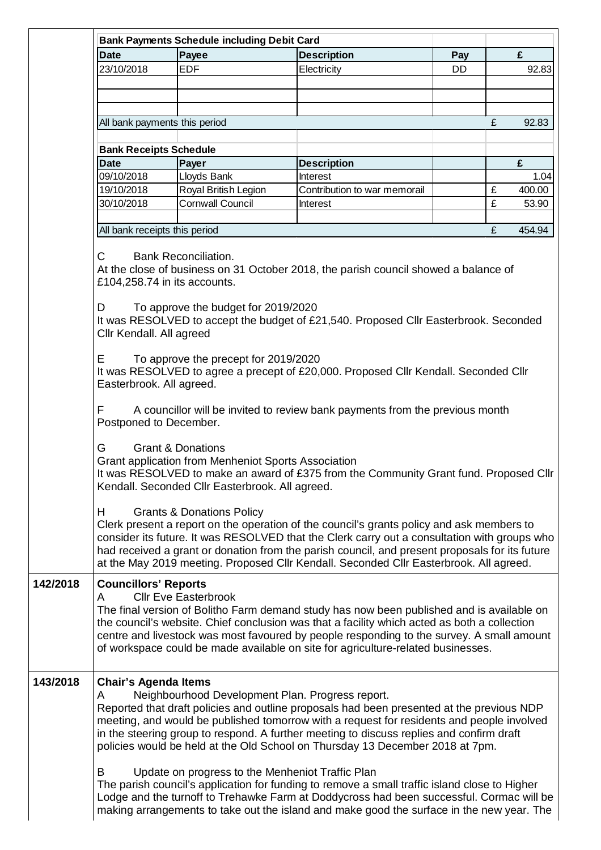| <b>Date</b>                                                                                                                                                                                                                                                                                 | <b>Bank Payments Schedule including Debit Card</b><br>Payee |                                                                                           |     |   | £      |  |  |  |  |
|---------------------------------------------------------------------------------------------------------------------------------------------------------------------------------------------------------------------------------------------------------------------------------------------|-------------------------------------------------------------|-------------------------------------------------------------------------------------------|-----|---|--------|--|--|--|--|
|                                                                                                                                                                                                                                                                                             |                                                             | <b>Description</b>                                                                        | Pay |   |        |  |  |  |  |
| 23/10/2018                                                                                                                                                                                                                                                                                  | <b>EDF</b>                                                  | Electricity                                                                               | DD  |   | 92.83  |  |  |  |  |
|                                                                                                                                                                                                                                                                                             |                                                             |                                                                                           |     |   |        |  |  |  |  |
|                                                                                                                                                                                                                                                                                             |                                                             |                                                                                           |     |   |        |  |  |  |  |
|                                                                                                                                                                                                                                                                                             |                                                             |                                                                                           |     |   |        |  |  |  |  |
|                                                                                                                                                                                                                                                                                             | All bank payments this period                               |                                                                                           |     | £ | 92.83  |  |  |  |  |
|                                                                                                                                                                                                                                                                                             |                                                             |                                                                                           |     |   |        |  |  |  |  |
| <b>Bank Receipts Schedule</b>                                                                                                                                                                                                                                                               |                                                             |                                                                                           |     |   |        |  |  |  |  |
| <b>Date</b>                                                                                                                                                                                                                                                                                 | Payer                                                       | <b>Description</b>                                                                        |     |   | £      |  |  |  |  |
| 09/10/2018                                                                                                                                                                                                                                                                                  | Lloyds Bank                                                 | <b>Interest</b>                                                                           |     |   | 1.04   |  |  |  |  |
| 19/10/2018                                                                                                                                                                                                                                                                                  | Royal British Legion                                        | Contribution to war memorail                                                              |     | £ | 400.00 |  |  |  |  |
| 30/10/2018                                                                                                                                                                                                                                                                                  | <b>Cornwall Council</b>                                     | Interest                                                                                  |     | £ | 53.90  |  |  |  |  |
|                                                                                                                                                                                                                                                                                             |                                                             |                                                                                           |     |   |        |  |  |  |  |
|                                                                                                                                                                                                                                                                                             | All bank receipts this period                               |                                                                                           |     | £ | 454.94 |  |  |  |  |
| C                                                                                                                                                                                                                                                                                           | <b>Bank Reconciliation.</b>                                 |                                                                                           |     |   |        |  |  |  |  |
|                                                                                                                                                                                                                                                                                             |                                                             | At the close of business on 31 October 2018, the parish council showed a balance of       |     |   |        |  |  |  |  |
| £104,258.74 in its accounts.                                                                                                                                                                                                                                                                |                                                             |                                                                                           |     |   |        |  |  |  |  |
| D                                                                                                                                                                                                                                                                                           | To approve the budget for 2019/2020                         |                                                                                           |     |   |        |  |  |  |  |
| It was RESOLVED to accept the budget of £21,540. Proposed CIIr Easterbrook. Seconded<br>Cllr Kendall. All agreed                                                                                                                                                                            |                                                             |                                                                                           |     |   |        |  |  |  |  |
| Е                                                                                                                                                                                                                                                                                           | To approve the precept for 2019/2020                        |                                                                                           |     |   |        |  |  |  |  |
|                                                                                                                                                                                                                                                                                             |                                                             | It was RESOLVED to agree a precept of £20,000. Proposed Cllr Kendall. Seconded Cllr       |     |   |        |  |  |  |  |
| Easterbrook. All agreed.                                                                                                                                                                                                                                                                    |                                                             |                                                                                           |     |   |        |  |  |  |  |
|                                                                                                                                                                                                                                                                                             |                                                             |                                                                                           |     |   |        |  |  |  |  |
| F                                                                                                                                                                                                                                                                                           |                                                             | A councillor will be invited to review bank payments from the previous month              |     |   |        |  |  |  |  |
|                                                                                                                                                                                                                                                                                             | Postponed to December.                                      |                                                                                           |     |   |        |  |  |  |  |
|                                                                                                                                                                                                                                                                                             |                                                             |                                                                                           |     |   |        |  |  |  |  |
| G                                                                                                                                                                                                                                                                                           | <b>Grant &amp; Donations</b>                                |                                                                                           |     |   |        |  |  |  |  |
|                                                                                                                                                                                                                                                                                             | Grant application from Menheniot Sports Association         |                                                                                           |     |   |        |  |  |  |  |
| It was RESOLVED to make an award of £375 from the Community Grant fund. Proposed Cllr                                                                                                                                                                                                       |                                                             |                                                                                           |     |   |        |  |  |  |  |
|                                                                                                                                                                                                                                                                                             | Kendall. Seconded Cllr Easterbrook. All agreed.             |                                                                                           |     |   |        |  |  |  |  |
|                                                                                                                                                                                                                                                                                             |                                                             |                                                                                           |     |   |        |  |  |  |  |
| H.                                                                                                                                                                                                                                                                                          | <b>Grants &amp; Donations Policy</b>                        |                                                                                           |     |   |        |  |  |  |  |
| Clerk present a report on the operation of the council's grants policy and ask members to<br>consider its future. It was RESOLVED that the Clerk carry out a consultation with groups who<br>had received a grant or donation from the parish council, and present proposals for its future |                                                             |                                                                                           |     |   |        |  |  |  |  |
|                                                                                                                                                                                                                                                                                             |                                                             |                                                                                           |     |   |        |  |  |  |  |
|                                                                                                                                                                                                                                                                                             |                                                             |                                                                                           |     |   |        |  |  |  |  |
|                                                                                                                                                                                                                                                                                             |                                                             | at the May 2019 meeting. Proposed Cllr Kendall. Seconded Cllr Easterbrook. All agreed.    |     |   |        |  |  |  |  |
| <b>Councillors' Reports</b>                                                                                                                                                                                                                                                                 |                                                             |                                                                                           |     |   |        |  |  |  |  |
| <b>Cllr Eve Easterbrook</b><br>A                                                                                                                                                                                                                                                            |                                                             |                                                                                           |     |   |        |  |  |  |  |
| The final version of Bolitho Farm demand study has now been published and is available on                                                                                                                                                                                                   |                                                             |                                                                                           |     |   |        |  |  |  |  |
| the council's website. Chief conclusion was that a facility which acted as both a collection                                                                                                                                                                                                |                                                             |                                                                                           |     |   |        |  |  |  |  |
|                                                                                                                                                                                                                                                                                             |                                                             | centre and livestock was most favoured by people responding to the survey. A small amount |     |   |        |  |  |  |  |
| of workspace could be made available on site for agriculture-related businesses.                                                                                                                                                                                                            |                                                             |                                                                                           |     |   |        |  |  |  |  |
|                                                                                                                                                                                                                                                                                             |                                                             |                                                                                           |     |   |        |  |  |  |  |
| <b>Chair's Agenda Items</b>                                                                                                                                                                                                                                                                 |                                                             |                                                                                           |     |   |        |  |  |  |  |
| Α                                                                                                                                                                                                                                                                                           |                                                             | Neighbourhood Development Plan. Progress report.                                          |     |   |        |  |  |  |  |
| Reported that draft policies and outline proposals had been presented at the previous NDP                                                                                                                                                                                                   |                                                             |                                                                                           |     |   |        |  |  |  |  |
| meeting, and would be published tomorrow with a request for residents and people involved                                                                                                                                                                                                   |                                                             |                                                                                           |     |   |        |  |  |  |  |
| in the steering group to respond. A further meeting to discuss replies and confirm draft                                                                                                                                                                                                    |                                                             |                                                                                           |     |   |        |  |  |  |  |
| policies would be held at the Old School on Thursday 13 December 2018 at 7pm.                                                                                                                                                                                                               |                                                             |                                                                                           |     |   |        |  |  |  |  |
|                                                                                                                                                                                                                                                                                             |                                                             |                                                                                           |     |   |        |  |  |  |  |
| Update on progress to the Menheniot Traffic Plan<br>В                                                                                                                                                                                                                                       |                                                             |                                                                                           |     |   |        |  |  |  |  |
| The parish council's application for funding to remove a small traffic island close to Higher<br>Lodge and the turnoff to Trehawke Farm at Doddycross had been successful. Cormac will be                                                                                                   |                                                             |                                                                                           |     |   |        |  |  |  |  |
|                                                                                                                                                                                                                                                                                             |                                                             |                                                                                           |     |   |        |  |  |  |  |
|                                                                                                                                                                                                                                                                                             |                                                             | making arrangements to take out the island and make good the surface in the new year. The |     |   |        |  |  |  |  |